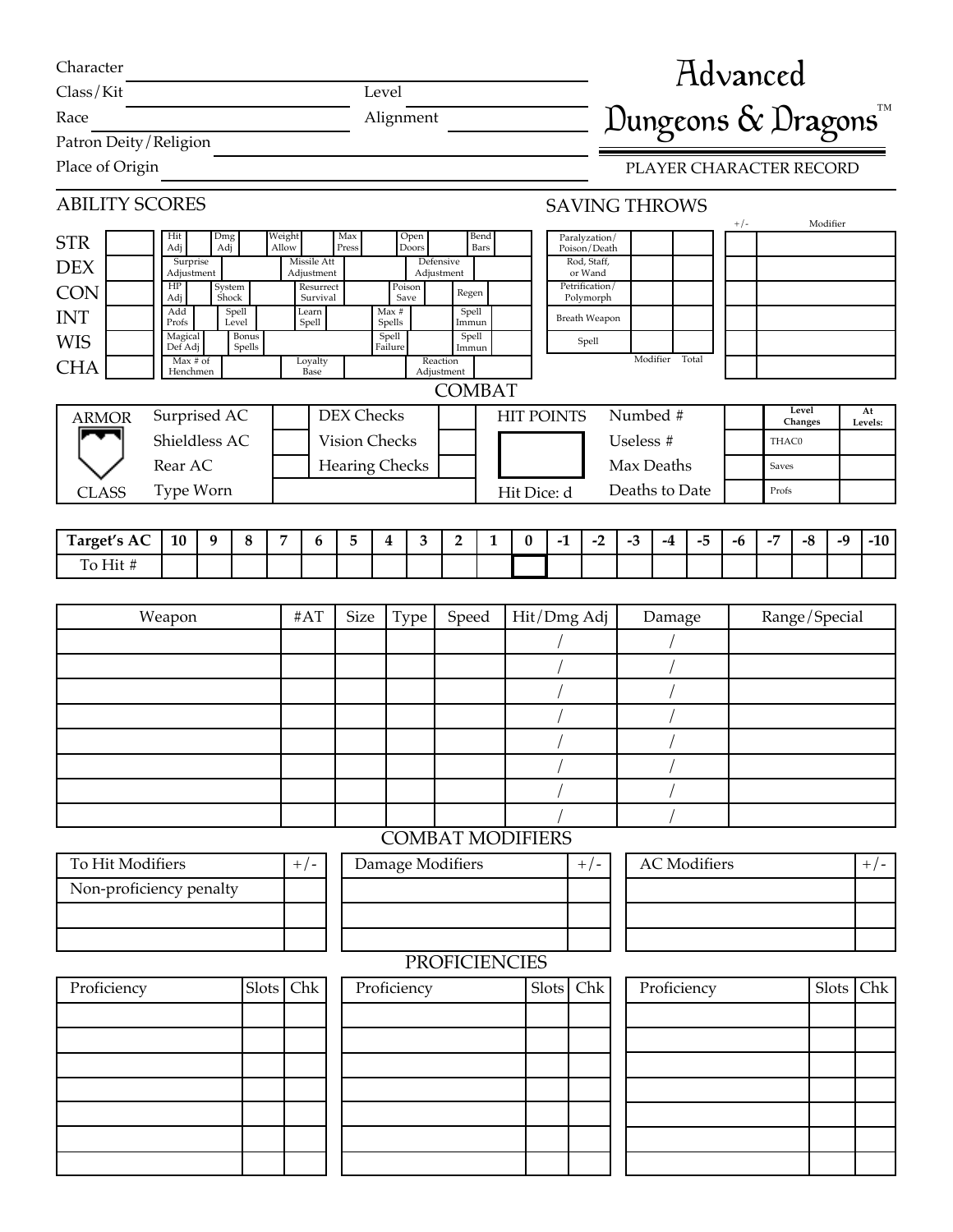| Character<br>Class/Kit<br>Level |                                                      |            |                 |                 |                           |                                                                                |                  |                         | <b>Advanced</b>                  |                |   |                   |       |                             |                |           |                      |                     |       |       |       |                         |          |               |
|---------------------------------|------------------------------------------------------|------------|-----------------|-----------------|---------------------------|--------------------------------------------------------------------------------|------------------|-------------------------|----------------------------------|----------------|---|-------------------|-------|-----------------------------|----------------|-----------|----------------------|---------------------|-------|-------|-------|-------------------------|----------|---------------|
| Alignment<br>Race               |                                                      |            |                 |                 |                           |                                                                                |                  |                         | Dungeons & Dragons <sup>TM</sup> |                |   |                   |       |                             |                |           |                      |                     |       |       |       |                         |          |               |
| Patron Deity / Religion         |                                                      |            |                 |                 |                           |                                                                                |                  |                         |                                  |                |   |                   |       |                             |                |           |                      |                     |       |       |       |                         |          |               |
| Place of Origin                 |                                                      |            |                 |                 |                           |                                                                                |                  |                         |                                  |                |   |                   |       |                             |                |           |                      |                     |       |       |       | PLAYER CHARACTER RECORD |          |               |
| <b>ABILITY SCORES</b>           |                                                      |            |                 |                 |                           |                                                                                |                  |                         |                                  |                |   |                   |       |                             |                |           | <b>SAVING THROWS</b> |                     |       | $+/-$ |       |                         | Modifier |               |
| <b>STR</b>                      | Hit<br>Adj                                           | Dmg<br>Adj |                 | Weight<br>Allow |                           | Max<br>Open<br>Bend<br>Paralyzation/<br>Press<br>Doors<br>Bars<br>Poison/Death |                  |                         |                                  |                |   |                   |       |                             |                |           |                      |                     |       |       |       |                         |          |               |
| <b>DEX</b>                      | Surprise<br>Adjustment                               |            |                 |                 | Missile Att<br>Adjustment |                                                                                |                  |                         | Defensive<br>Adjustment          |                |   |                   |       | Rod. Staff.<br>or Wand      |                |           |                      |                     |       |       |       |                         |          |               |
| <b>CON</b>                      | HP<br>Adj                                            |            | System<br>Shock |                 | Resurrect<br>Survival     |                                                                                |                  | Poison<br>Save          |                                  | Regen          |   |                   |       | Petrification/<br>Polymorph |                |           |                      |                     |       |       |       |                         |          |               |
| <b>INT</b>                      | Add<br>Profs                                         |            | Spell<br>Level  |                 | Learn<br>Spell            |                                                                                | Max #<br>Spells  |                         |                                  | Spell<br>Immun |   |                   |       |                             | Breath Weapon  |           |                      |                     |       |       |       |                         |          |               |
| <b>WIS</b>                      | Magical<br>Def Adj                                   |            | Bonus<br>Spells |                 |                           |                                                                                | Spell<br>Failure |                         |                                  | Spell<br>Immun |   |                   |       | Spell                       |                |           |                      |                     |       |       |       |                         |          |               |
| <b>CHA</b>                      | Max # of<br>Henchmen                                 |            |                 |                 | Loyalty<br>Base           |                                                                                |                  |                         | Reaction<br>Adjustment           |                |   |                   |       |                             |                |           | Modifier             | Total               |       |       |       |                         |          |               |
|                                 |                                                      |            |                 |                 |                           |                                                                                |                  |                         | <b>COMBAT</b>                    |                |   |                   |       |                             |                |           |                      |                     |       |       |       |                         |          |               |
| <b>ARMOR</b>                    | Surprised AC                                         |            |                 |                 |                           | <b>DEX Checks</b>                                                              |                  |                         |                                  |                |   | <b>HIT POINTS</b> |       |                             |                |           | Numbed #             |                     |       |       |       | Level<br>Changes        |          | At<br>Levels: |
|                                 | Shieldless AC                                        |            |                 |                 |                           | Vision Checks                                                                  |                  |                         |                                  |                |   |                   |       |                             |                | Useless # |                      |                     |       |       | THAC0 |                         |          |               |
|                                 | Rear AC                                              |            |                 |                 |                           | <b>Hearing Checks</b>                                                          |                  |                         |                                  |                |   |                   |       | Max Deaths                  |                |           |                      |                     | Saves |       |       |                         |          |               |
| <b>CLASS</b>                    | Type Worn                                            |            |                 |                 |                           |                                                                                |                  |                         |                                  |                |   | Hit Dice: d       |       |                             | Deaths to Date |           |                      |                     |       |       | Profs |                         |          |               |
|                                 |                                                      |            |                 |                 |                           |                                                                                |                  |                         |                                  |                |   |                   |       |                             |                |           |                      |                     |       |       |       |                         |          |               |
| Target's AC                     | 10                                                   | 9          | 8               | 7               | 6                         | 5                                                                              | 4                | 3                       | 2                                |                | 1 | $\bf{0}$          | $-1$  | $-2$                        |                | $-3$      | $-4$                 | $-5$                |       | -6    | $-7$  | $-8$                    | $-9$     | $-10$         |
| To Hit #                        |                                                      |            |                 |                 |                           |                                                                                |                  |                         |                                  |                |   |                   |       |                             |                |           |                      |                     |       |       |       |                         |          |               |
|                                 |                                                      |            |                 |                 |                           |                                                                                |                  |                         |                                  |                |   |                   |       |                             |                |           |                      |                     |       |       |       |                         |          |               |
| #AT<br>Weapon                   |                                                      |            |                 | Size            | Type                      | Hit/Dmg Adj<br>Speed                                                           |                  |                         |                                  |                |   | Damage            |       |                             |                |           |                      | Range/Special       |       |       |       |                         |          |               |
|                                 |                                                      |            |                 |                 |                           |                                                                                |                  |                         |                                  |                |   |                   |       |                             |                |           |                      |                     |       |       |       |                         |          |               |
|                                 |                                                      |            |                 |                 |                           |                                                                                |                  |                         |                                  |                |   |                   |       |                             |                |           |                      |                     |       |       |       |                         |          |               |
|                                 |                                                      |            |                 |                 |                           |                                                                                |                  |                         |                                  |                |   |                   |       |                             |                |           |                      |                     |       |       |       |                         |          |               |
|                                 |                                                      |            |                 |                 |                           |                                                                                |                  |                         |                                  |                |   |                   |       |                             |                |           |                      |                     |       |       |       |                         |          |               |
|                                 |                                                      |            |                 |                 |                           |                                                                                |                  |                         |                                  |                |   |                   |       |                             |                |           |                      |                     |       |       |       |                         |          |               |
|                                 |                                                      |            |                 |                 |                           |                                                                                |                  |                         |                                  |                |   |                   |       |                             |                |           |                      |                     |       |       |       |                         |          |               |
|                                 |                                                      |            |                 |                 |                           |                                                                                |                  |                         |                                  |                |   |                   |       |                             |                |           |                      |                     |       |       |       |                         |          |               |
|                                 |                                                      |            |                 |                 |                           |                                                                                |                  | <b>COMBAT MODIFIERS</b> |                                  |                |   |                   |       |                             |                |           |                      |                     |       |       |       |                         |          |               |
|                                 |                                                      |            |                 |                 |                           |                                                                                |                  |                         |                                  |                |   |                   |       |                             |                |           |                      | <b>AC</b> Modifiers |       |       |       |                         |          |               |
|                                 | To Hit Modifiers<br>$+/-$<br>Non-proficiency penalty |            |                 |                 |                           | Damage Modifiers                                                               |                  |                         |                                  |                |   | $+/-$             |       |                             |                |           |                      |                     |       |       |       | $+/-$                   |          |               |
|                                 |                                                      |            |                 |                 |                           |                                                                                |                  |                         |                                  |                |   |                   |       |                             |                |           |                      |                     |       |       |       |                         |          |               |
|                                 |                                                      |            |                 |                 |                           |                                                                                |                  |                         |                                  |                |   |                   |       |                             |                |           |                      |                     |       |       |       |                         |          |               |
|                                 |                                                      |            |                 |                 |                           |                                                                                |                  | <b>PROFICIENCIES</b>    |                                  |                |   |                   |       |                             |                |           |                      |                     |       |       |       |                         |          |               |
| Proficiency                     |                                                      |            | <b>Slots</b>    |                 | Chk                       |                                                                                | Proficiency      |                         |                                  |                |   |                   | Slots | Chk                         |                |           |                      | Proficiency         |       |       |       |                         | Slots    | Chk           |
|                                 |                                                      |            |                 |                 |                           |                                                                                |                  |                         |                                  |                |   |                   |       |                             |                |           |                      |                     |       |       |       |                         |          |               |
|                                 |                                                      |            |                 |                 |                           |                                                                                |                  |                         |                                  |                |   |                   |       |                             |                |           |                      |                     |       |       |       |                         |          |               |
|                                 |                                                      |            |                 |                 |                           |                                                                                |                  |                         |                                  |                |   |                   |       |                             |                |           |                      |                     |       |       |       |                         |          |               |
|                                 |                                                      |            |                 |                 |                           |                                                                                |                  |                         |                                  |                |   |                   |       |                             |                |           |                      |                     |       |       |       |                         |          |               |
|                                 |                                                      |            |                 |                 |                           |                                                                                |                  |                         |                                  |                |   |                   |       |                             |                |           |                      |                     |       |       |       |                         |          |               |
|                                 |                                                      |            |                 |                 |                           |                                                                                |                  |                         |                                  |                |   |                   |       |                             |                |           |                      |                     |       |       |       |                         |          |               |
|                                 |                                                      |            |                 |                 |                           |                                                                                |                  |                         |                                  |                |   |                   |       |                             |                |           |                      |                     |       |       |       |                         |          |               |
|                                 |                                                      |            |                 |                 |                           |                                                                                |                  |                         |                                  |                |   |                   |       |                             |                |           |                      |                     |       |       |       |                         |          |               |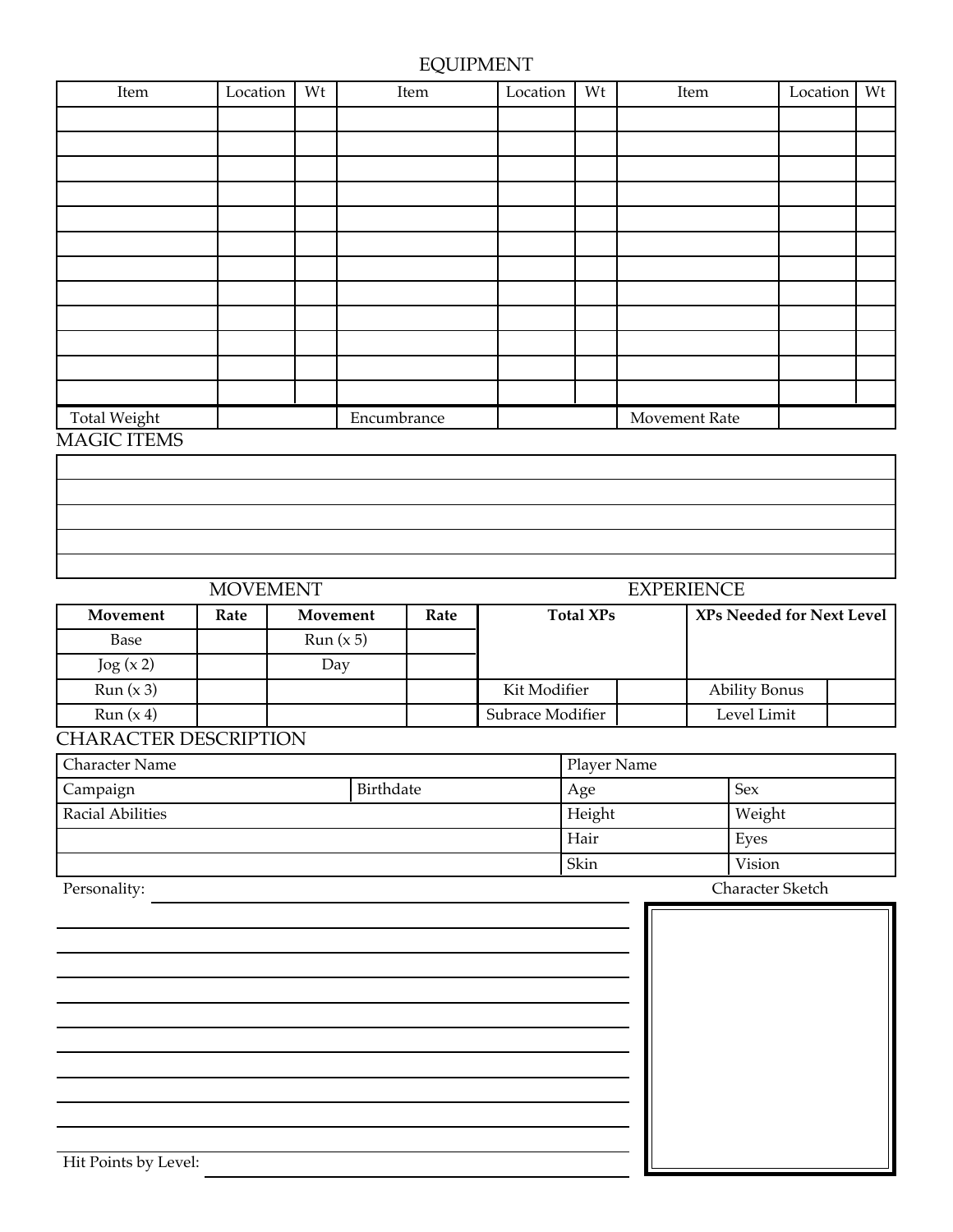## EQUIPMENT

| Item         | Location | Wt | Item        | Location             | Wt | Item | Location | Wt |
|--------------|----------|----|-------------|----------------------|----|------|----------|----|
|              |          |    |             |                      |    |      |          |    |
|              |          |    |             |                      |    |      |          |    |
|              |          |    |             |                      |    |      |          |    |
|              |          |    |             |                      |    |      |          |    |
|              |          |    |             |                      |    |      |          |    |
|              |          |    |             |                      |    |      |          |    |
|              |          |    |             |                      |    |      |          |    |
|              |          |    |             |                      |    |      |          |    |
|              |          |    |             |                      |    |      |          |    |
|              |          |    |             |                      |    |      |          |    |
|              |          |    |             |                      |    |      |          |    |
|              |          |    |             |                      |    |      |          |    |
| Total Weight |          |    | Encumbrance | <b>Movement Rate</b> |    |      |          |    |
| MACIC ITEMS  |          |    |             |                      |    |      |          |    |

#### MAGIC ITEMS

# **Movement Rate Movement Rate Rate Total XPs XPs** Needed for Next Level Base  $\vert$  Run (x 5)  $\log(x 2)$  Day Run (x 3) Kit Modifier Ability Bonus Run (x 4) Subrace Modifier Level Limit MOVEMENT EXPERIENCE

#### CHARACTER DESCRIPTION

| <b>Character Name</b>   | Player Name |        |                  |  |  |
|-------------------------|-------------|--------|------------------|--|--|
| Campaign                | Birthdate   | Age    | Sex              |  |  |
| <b>Racial Abilities</b> |             | Height | Weight           |  |  |
|                         |             | Hair   | Eyes             |  |  |
|                         |             | Skin   | Vision           |  |  |
| Personality:            |             |        | Character Sketch |  |  |

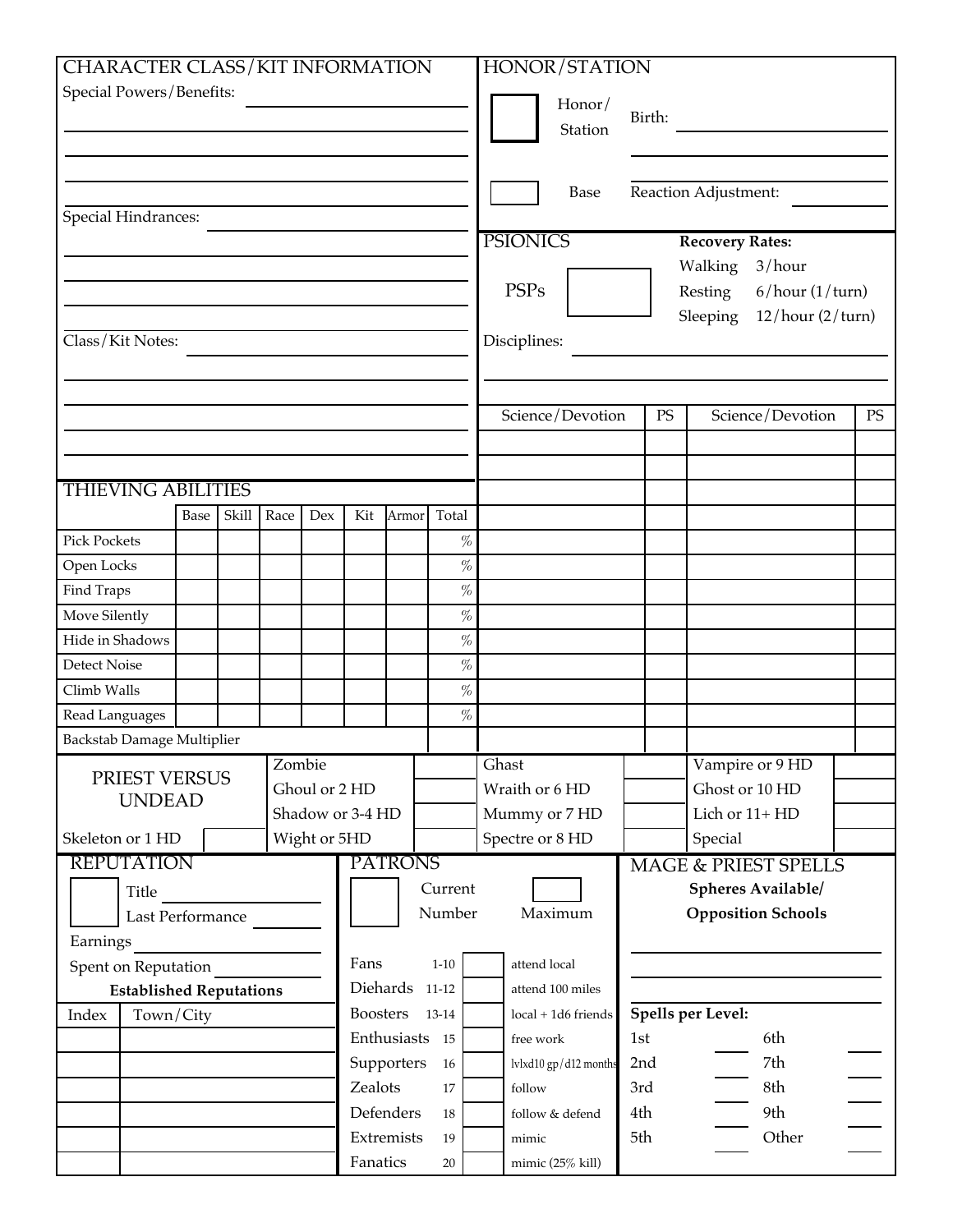| <b>CHARACTER CLASS/KIT INFORMATION</b>           |      |       |        |              |                  |                |                     |                  | HONOR/STATION         |                   |                |                              |  |    |
|--------------------------------------------------|------|-------|--------|--------------|------------------|----------------|---------------------|------------------|-----------------------|-------------------|----------------|------------------------------|--|----|
| Special Powers/Benefits:                         |      |       |        |              |                  |                |                     |                  |                       |                   |                |                              |  |    |
|                                                  |      |       |        |              |                  |                |                     |                  | Honor/                | Birth:            |                |                              |  |    |
|                                                  |      |       |        |              |                  |                |                     |                  | Station               |                   |                |                              |  |    |
|                                                  |      |       |        |              |                  |                |                     |                  |                       |                   |                |                              |  |    |
|                                                  |      |       |        |              |                  |                |                     |                  | Base                  |                   |                | Reaction Adjustment:         |  |    |
| <b>Special Hindrances:</b>                       |      |       |        |              |                  |                |                     |                  |                       |                   |                |                              |  |    |
|                                                  |      |       |        |              |                  |                |                     | <b>PSIONICS</b>  |                       |                   |                | <b>Recovery Rates:</b>       |  |    |
|                                                  |      |       |        |              |                  |                |                     |                  |                       |                   |                | Walking<br>3/hour            |  |    |
|                                                  |      |       |        |              |                  |                |                     | <b>PSPs</b>      |                       |                   |                | Resting<br>6/hour (1/turn)   |  |    |
|                                                  |      |       |        |              |                  |                |                     |                  |                       |                   |                | Sleeping<br>12/hour (2/turn) |  |    |
| Class/Kit Notes:                                 |      |       |        |              |                  |                |                     | Disciplines:     |                       |                   |                |                              |  |    |
|                                                  |      |       |        |              |                  |                |                     |                  |                       |                   |                |                              |  |    |
|                                                  |      |       |        |              |                  |                |                     |                  |                       |                   |                |                              |  |    |
|                                                  |      |       |        |              |                  |                |                     |                  | Science/Devotion      |                   | PS             | Science/Devotion             |  | PS |
|                                                  |      |       |        |              |                  |                |                     |                  |                       |                   |                |                              |  |    |
|                                                  |      |       |        |              |                  |                |                     |                  |                       |                   |                |                              |  |    |
| <b>THIEVING ABILITIES</b>                        |      |       |        |              |                  |                |                     |                  |                       |                   |                |                              |  |    |
|                                                  | Base | Skill | Race   | Dex          | Kit              | Armor          | Total               |                  |                       |                   |                |                              |  |    |
| <b>Pick Pockets</b>                              |      |       |        |              |                  |                | $\%$                |                  |                       |                   |                |                              |  |    |
| Open Locks                                       |      |       |        |              |                  |                | $\%$                |                  |                       |                   |                |                              |  |    |
| Find Traps<br>Move Silently                      |      |       |        |              |                  |                | $\%$<br>$\%$        |                  |                       |                   |                |                              |  |    |
| Hide in Shadows                                  |      |       |        |              |                  |                | $\%$                |                  |                       |                   |                |                              |  |    |
| Detect Noise                                     |      |       |        |              |                  |                | $\%$                |                  |                       |                   |                |                              |  |    |
| Climb Walls                                      |      |       |        |              |                  |                | $\%$                |                  |                       |                   |                |                              |  |    |
| Read Languages                                   |      |       |        |              |                  |                | $\%$                |                  |                       |                   |                |                              |  |    |
| Backstab Damage Multiplier                       |      |       |        |              |                  |                |                     |                  |                       |                   |                |                              |  |    |
|                                                  |      |       | Zombie |              |                  |                |                     | Ghast            |                       |                   |                | Vampire or 9 HD              |  |    |
| PRIEST VERSUS                                    |      |       |        |              | Ghoul or 2 HD    |                |                     | Wraith or 6 HD   |                       |                   |                | Ghost or 10 HD               |  |    |
| <b>UNDEAD</b>                                    |      |       |        |              | Shadow or 3-4 HD |                |                     | Mummy or 7 HD    |                       |                   | Lich or 11+ HD |                              |  |    |
| Skeleton or 1 HD                                 |      |       |        | Wight or 5HD |                  |                |                     | Spectre or 8 HD  |                       |                   |                | Special                      |  |    |
| <b>REPUTATION</b>                                |      |       |        |              |                  | <b>PATRONS</b> |                     |                  |                       |                   |                | MAGE & PRIEST SPELLS         |  |    |
| Title                                            |      |       |        |              |                  |                | Current             |                  |                       |                   |                | Spheres Available/           |  |    |
| Last Performance                                 |      |       |        |              |                  |                | Number              |                  | Maximum               |                   |                | <b>Opposition Schools</b>    |  |    |
| Earnings                                         |      |       |        |              |                  |                |                     |                  |                       |                   |                |                              |  |    |
| Spent on Reputation                              |      |       |        |              | Fans             |                | $1 - 10$            | attend local     |                       |                   |                |                              |  |    |
| Diehards 11-12<br><b>Established Reputations</b> |      |       |        |              |                  |                |                     | attend 100 miles |                       |                   |                |                              |  |    |
| <b>Boosters</b><br>Town/City<br>Index<br>13-14   |      |       |        |              |                  |                | local + 1d6 friends |                  |                       | Spells per Level: |                |                              |  |    |
|                                                  |      |       |        |              |                  | Enthusiasts 15 | free work           |                  |                       | 1st<br>6th        |                |                              |  |    |
|                                                  |      |       |        |              |                  | Supporters     | 16                  |                  | lvlxd10 gp/d12 months | 2nd               |                | 7th                          |  |    |
|                                                  |      |       |        |              | Zealots          |                | 17                  | follow           |                       | 3rd               |                | 8th                          |  |    |
|                                                  |      |       |        |              |                  | Defenders      | 18                  |                  | follow & defend       | 4th               |                | 9th                          |  |    |
|                                                  |      |       |        |              |                  | Extremists     | 19                  | mimic            |                       | 5th               |                | Other                        |  |    |
|                                                  |      |       |        |              | Fanatics         |                | 20                  |                  | mimic (25% kill)      |                   |                |                              |  |    |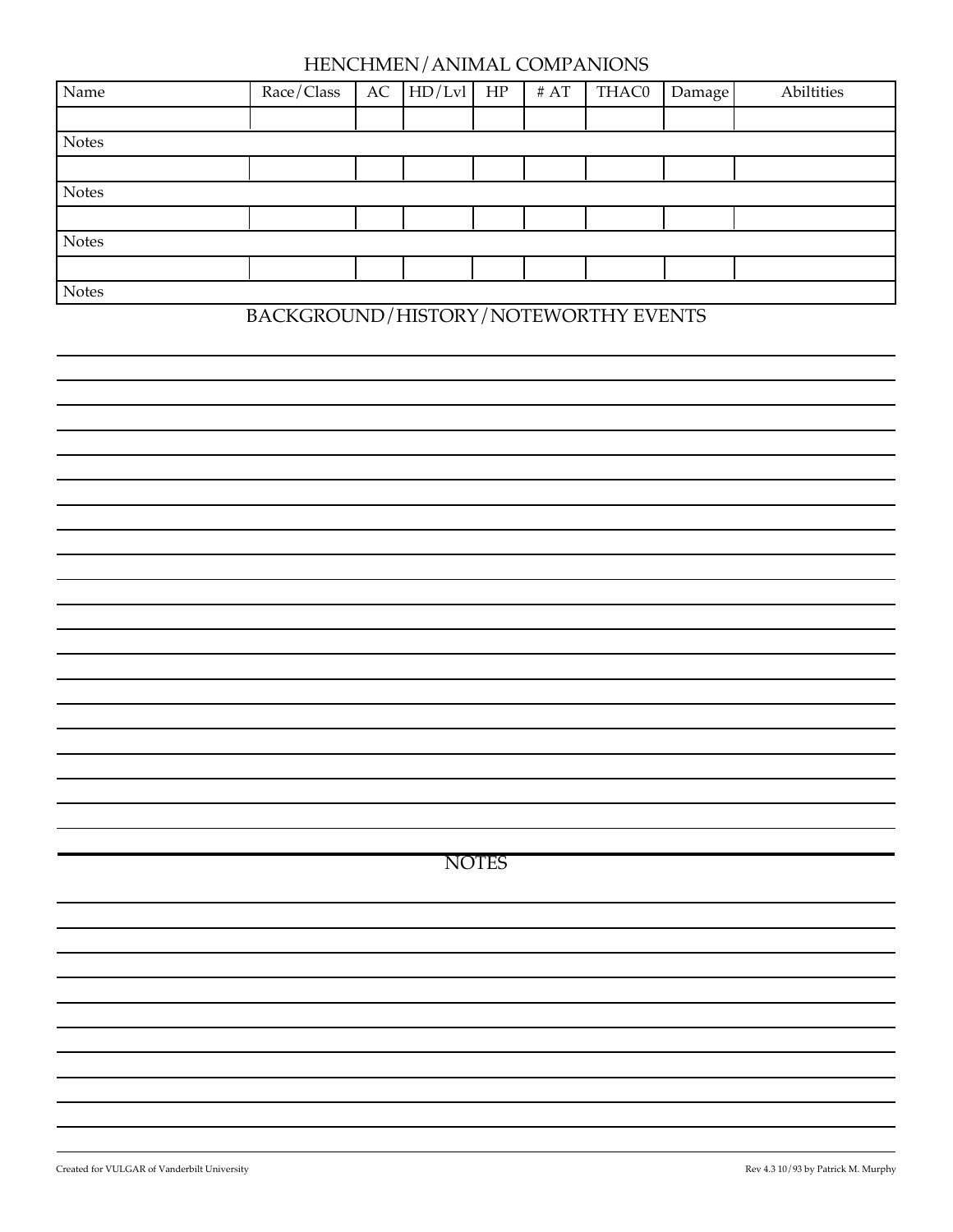### HENCHMEN/ANIMAL COMPANIONS

| Name         | Race/Class | AC | HD/Lvl | HP | # $AT$ | THAC0 | Damage | Abiltities |
|--------------|------------|----|--------|----|--------|-------|--------|------------|
|              |            |    |        |    |        |       |        |            |
| <b>Notes</b> |            |    |        |    |        |       |        |            |
|              |            |    |        |    |        |       |        |            |
| <b>Notes</b> |            |    |        |    |        |       |        |            |
|              |            |    |        |    |        |       |        |            |
| <b>Notes</b> |            |    |        |    |        |       |        |            |
|              |            |    |        |    |        |       |        |            |
| <b>Notes</b> |            |    |        |    |        |       |        |            |

## BACKGROUND/HISTORY/NOTEWORTHY EVENTS

**NOTES**